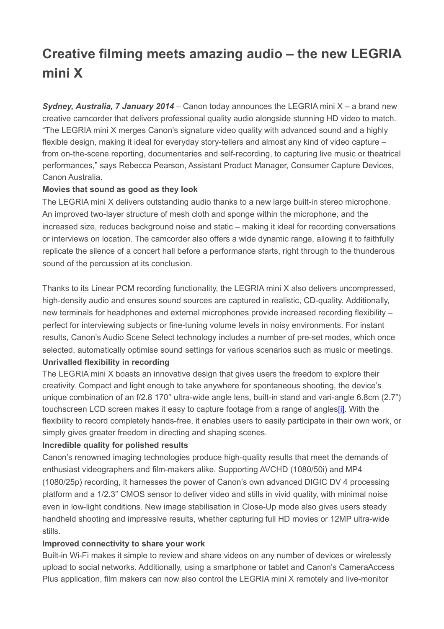# **Creative filming meets amazing audio – the new LEGRIA mini X**

*Sydney, Australia, 7 January 2014* – Canon today announces the LEGRIA mini X – a brand new creative camcorder that delivers professional quality audio alongside stunning HD video to match. "The LEGRIA mini X merges Canon's signature video quality with advanced sound and a highly flexible design, making it ideal for everyday story-tellers and almost any kind of video capture – from on-the-scene reporting, documentaries and self-recording, to capturing live music or theatrical performances," says Rebecca Pearson, Assistant Product Manager, Consumer Capture Devices, Canon Australia.

## **Movies that sound as good as they look**

The LEGRIA mini X delivers outstanding audio thanks to a new large built-in stereo microphone. An improved two-layer structure of mesh cloth and sponge within the microphone, and the increased size, reduces background noise and static – making it ideal for recording conversations or interviews on location. The camcorder also offers a wide dynamic range, allowing it to faithfully replicate the silence of a concert hall before a performance starts, right through to the thunderous sound of the percussion at its conclusion.

Thanks to its Linear PCM recording functionality, the LEGRIA mini X also delivers uncompressed, high-density audio and ensures sound sources are captured in realistic, CD-quality. Additionally, new terminals for headphones and external microphones provide increased recording flexibility – perfect for interviewing subjects or fine-tuning volume levels in noisy environments. For instant results, Canon's Audio Scene Select technology includes a number of pre-set modes, which once selected, automatically optimise sound settings for various scenarios such as music or meetings.

## **Unrivalled flexibility in recording**

The LEGRIA mini X boasts an innovative design that gives users the freedom to explore their creativity. Compact and light enough to take anywhere for spontaneous shooting, the device's unique combination of an f/2.8 170° ultra-wide angle lens, built-in stand and vari-angle 6.8cm (2.7") touchscreen LCD screen makes it easy to capture footage from a range of angle[s\[i\].](https://bay179.mail.live.com/mail/#_edn1) With the flexibility to record completely hands-free, it enables users to easily participate in their own work, or simply gives greater freedom in directing and shaping scenes.

# **Incredible quality for polished results**

Canon's renowned imaging technologies produce high-quality results that meet the demands of enthusiast videographers and film-makers alike. Supporting AVCHD (1080/50i) and MP4 (1080/25p) recording, it harnesses the power of Canon's own advanced DIGIC DV 4 processing platform and a 1/2.3" CMOS sensor to deliver video and stills in vivid quality, with minimal noise even in low-light conditions. New image stabilisation in Close-Up mode also gives users steady handheld shooting and impressive results, whether capturing full HD movies or 12MP ultra-wide stills.

## **Improved connectivity to share your work**

Built-in Wi-Fi makes it simple to review and share videos on any number of devices or wirelessly upload to social networks. Additionally, using a smartphone or tablet and Canon's CameraAccess Plus application, film makers can now also control the LEGRIA mini X remotely and live-monitor